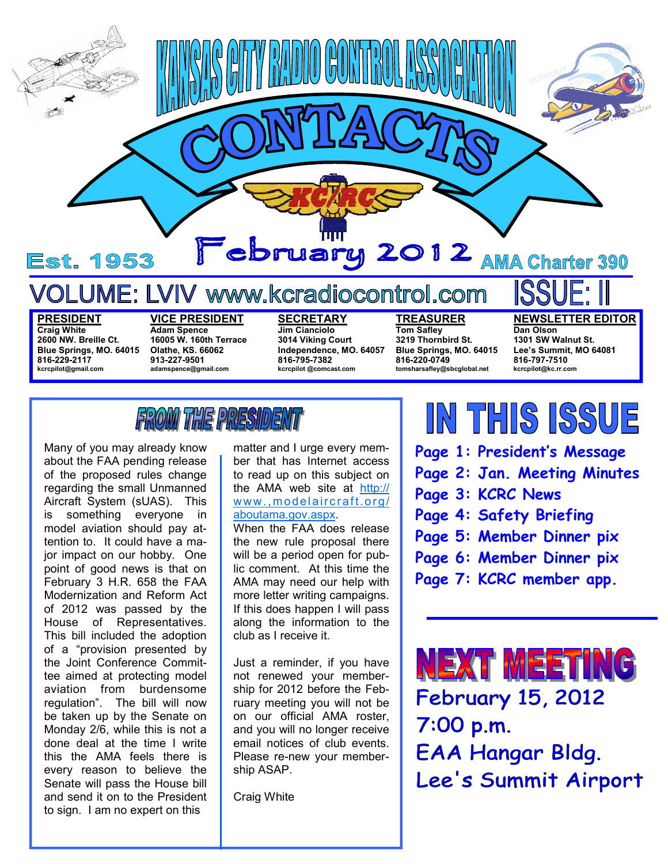

#### **PRESIDENT**

**Craig White 2600 NW. Breille Ct. Blue Springs, MO. 64015 816-229-2117 kcrcpilot@gmail.com** 

**VICE PRESIDENT Adam Spence 16005 W. 160th Terrace Olathe, KS. 66062 913-227-9501 adamspence@gmail.com** 

**SECRETARY Jim Cianciolo 3014 Viking Court Independence, MO. 64057 816-795-7382 kcrcpilot @comcast.com** 

**TREASURER Tom Safley 3219 Thornbird St. Blue Springs, MO. 64015 816-220-0749 tomsharsafley@sbcglobal.net** 

**NEWSLETTER EDITOR Dan Olson** 

**1301 SW Walnut St. Lee's Summit, MO 64081** 

**816-797-7510 kcrcpilot@kc.rr.com** 

FROM THE PRESIDEN

Many of you may already know about the FAA pending release of the proposed rules change regarding the small Unmanned Aircraft System (sUAS). This is something everyone in model aviation should pay attention to. It could have a major impact on our hobby. One point of good news is that on February 3 H.R. 658 the FAA Modernization and Reform Act of 2012 was passed by the House of Representatives. This bill included the adoption of a "provision presented by the Joint Conference Committee aimed at protecting model aviation from burdensome regulation". The bill will now be taken up by the Senate on Monday 2/6, while this is not a done deal at the time I write this the AMA feels there is every reason to believe the Senate will pass the House bill and send it on to the President to sign. I am no expert on this

matter and I urge every member that has Internet access to read up on this subject on the AMA web site at http:// www.,modelaircraft.org/ aboutama.gov.aspx.

When the FAA does release the new rule proposal there will be a period open for public comment. At this time the AMA may need our help with more letter writing campaigns. If this does happen I will pass along the information to the club as I receive it.

Just a reminder, if you have not renewed your membership for 2012 before the February meeting you will not be on our official AMA roster, and you will no longer receive email notices of club events. Please re-new your membership ASAP.

Craig White

## IN THIS ISSUE

- **Page 1: President's Message**
- **Page 2: Jan. Meeting Minutes**
- **Page 3: KCRC News**
- **Page 4: Safety Briefing**
- **Page 5: Member Dinner pix**
- **Page 6: Member Dinner pix**
- **Page 7: KCRC member app.**

**NEXT MEETING February 15, 2012** 7:00 p.m. EAA Hangar Bldg. Lee's Summit Airport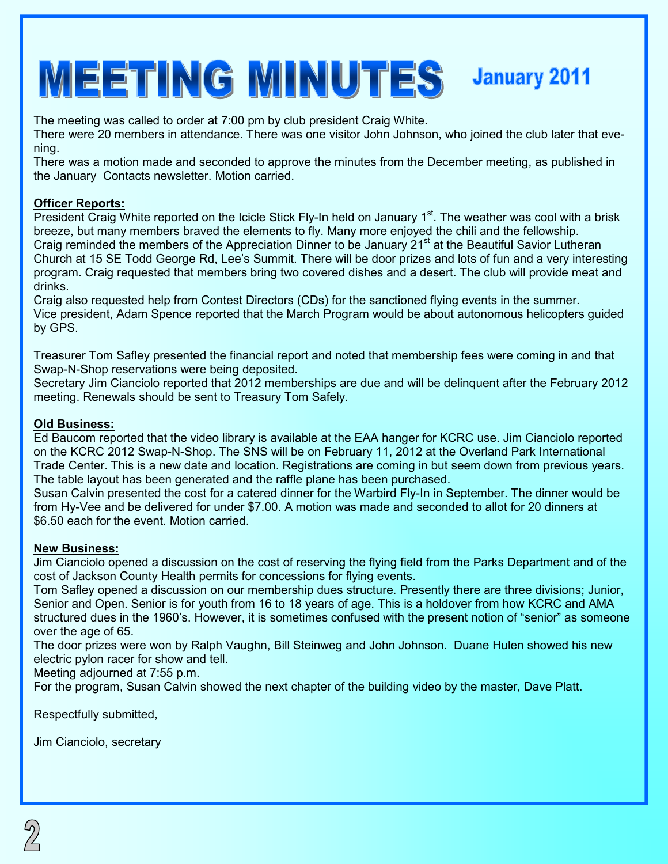# MEETING MINUTES January 2011

The meeting was called to order at 7:00 pm by club president Craig White.

There were 20 members in attendance. There was one visitor John Johnson, who joined the club later that evening.

There was a motion made and seconded to approve the minutes from the December meeting, as published in the January Contacts newsletter. Motion carried.

#### **Officer Reports:**

President Craig White reported on the Icicle Stick Fly-In held on January 1<sup>st</sup>. The weather was cool with a brisk breeze, but many members braved the elements to fly. Many more enjoyed the chili and the fellowship. Craig reminded the members of the Appreciation Dinner to be January 21<sup>st</sup> at the Beautiful Savior Lutheran Church at 15 SE Todd George Rd, Lee's Summit. There will be door prizes and lots of fun and a very interesting program. Craig requested that members bring two covered dishes and a desert. The club will provide meat and drinks.

Craig also requested help from Contest Directors (CDs) for the sanctioned flying events in the summer. Vice president, Adam Spence reported that the March Program would be about autonomous helicopters guided by GPS.

Treasurer Tom Safley presented the financial report and noted that membership fees were coming in and that Swap-N-Shop reservations were being deposited.

Secretary Jim Cianciolo reported that 2012 memberships are due and will be delinquent after the February 2012 meeting. Renewals should be sent to Treasury Tom Safely.

#### **Old Business:**

Ed Baucom reported that the video library is available at the EAA hanger for KCRC use. Jim Cianciolo reported on the KCRC 2012 Swap-N-Shop. The SNS will be on February 11, 2012 at the Overland Park International Trade Center. This is a new date and location. Registrations are coming in but seem down from previous years. The table layout has been generated and the raffle plane has been purchased.

Susan Calvin presented the cost for a catered dinner for the Warbird Fly-In in September. The dinner would be from Hy-Vee and be delivered for under \$7.00. A motion was made and seconded to allot for 20 dinners at \$6.50 each for the event. Motion carried.

#### **New Business:**

Jim Cianciolo opened a discussion on the cost of reserving the flying field from the Parks Department and of the cost of Jackson County Health permits for concessions for flying events.

Tom Safley opened a discussion on our membership dues structure. Presently there are three divisions; Junior, Senior and Open. Senior is for youth from 16 to 18 years of age. This is a holdover from how KCRC and AMA structured dues in the 1960's. However, it is sometimes confused with the present notion of "senior" as someone over the age of 65.

The door prizes were won by Ralph Vaughn, Bill Steinweg and John Johnson. Duane Hulen showed his new electric pylon racer for show and tell.

Meeting adjourned at 7:55 p.m.

For the program, Susan Calvin showed the next chapter of the building video by the master, Dave Platt.

Respectfully submitted,

Jim Cianciolo, secretary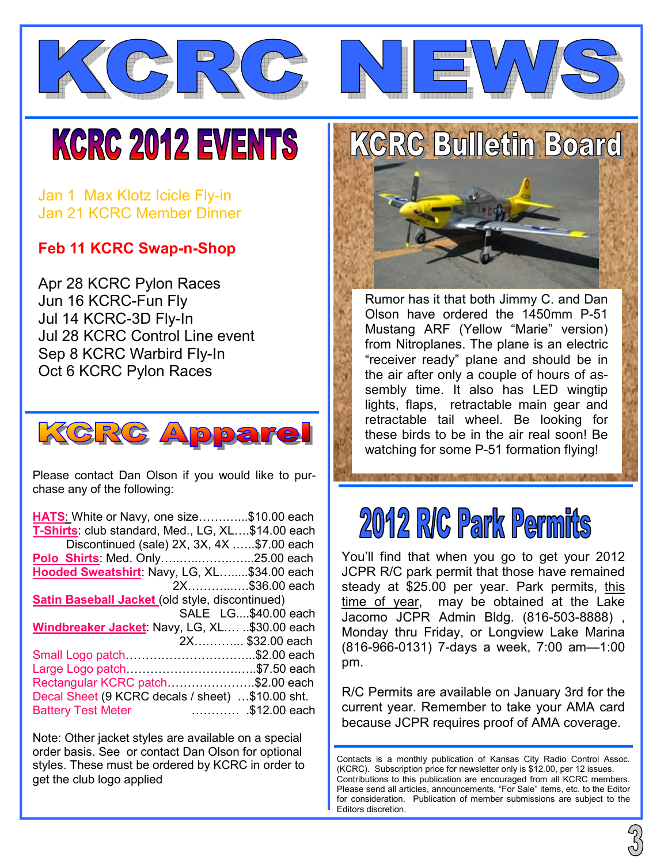



# **KCRC 2012 EVENTS**

Jan 1 Max Klotz Icicle Fly-in Jan 21 KCRC Member Dinner

#### **Feb 11 KCRC Swap-n-Shop**

Apr 28 KCRC Pylon Races Jun 16 KCRC-Fun Fly Jul 14 KCRC-3D Fly-In Jul 28 KCRC Control Line event Sep 8 KCRC Warbird Fly-In Oct 6 KCRC Pylon Races



Please contact Dan Olson if you would like to purchase any of the following:

| HATS White or Navy, one size\$10.00 each               |                     |
|--------------------------------------------------------|---------------------|
| T-Shirts: club standard, Med., LG, XL\$14.00 each      |                     |
| Discontinued (sale) 2X, 3X, 4X \$7.00 each             |                     |
|                                                        |                     |
| Hooded Sweatshirt: Navy, LG, XL\$34.00 each            |                     |
|                                                        | 2X\$36.00 each      |
| <b>Satin Baseball Jacket (old style, discontinued)</b> |                     |
|                                                        | SALE LG\$40.00 each |
| Windbreaker Jacket: Navy, LG, XL \$30.00 each          |                     |
|                                                        | 2X \$32.00 each     |
| Small Logo patch\$2.00 each                            |                     |
| Large Logo patch\$7.50 each                            |                     |
| Rectangular KCRC patch\$2.00 each                      |                     |
| Decal Sheet (9 KCRC decals / sheet) \$10.00 sht.       |                     |
| <b>Battery Test Meter</b>                              | \$12.00 each        |

Note: Other jacket styles are available on a special order basis. See or contact Dan Olson for optional styles. These must be ordered by KCRC in order to get the club logo applied

**KCRC Bulletin Board** 



Rumor has it that both Jimmy C. and Dan Olson have ordered the 1450mm P-51 Mustang ARF (Yellow "Marie" version) from Nitroplanes. The plane is an electric "receiver ready" plane and should be in the air after only a couple of hours of assembly time. It also has LED wingtip lights, flaps, retractable main gear and retractable tail wheel. Be looking for these birds to be in the air real soon! Be watching for some P-51 formation flying!

### 2012 R/C Park Permits

You'll find that when you go to get your 2012 JCPR R/C park permit that those have remained steady at \$25.00 per year. Park permits, this time of year, may be obtained at the Lake Jacomo JCPR Admin Bldg. (816-503-8888) , Monday thru Friday, or Longview Lake Marina (816-966-0131) 7-days a week, 7:00 am—1:00 pm.

R/C Permits are available on January 3rd for the current year. Remember to take your AMA card because JCPR requires proof of AMA coverage.

Contacts is a monthly publication of Kansas City Radio Control Assoc. (KCRC). Subscription price for newsletter only is \$12.00, per 12 issues. Contributions to this publication are encouraged from all KCRC members. Please send all articles, announcements, "For Sale" items, etc. to the Editor for consideration. Publication of member submissions are subject to the Editors discretion.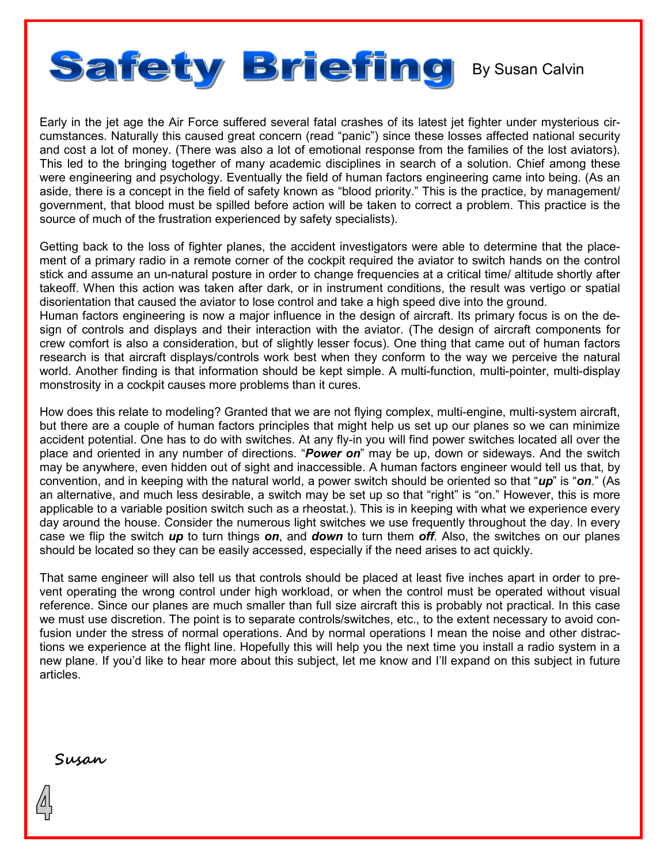

Early in the jet age the Air Force suffered several fatal crashes of its latest jet fighter under mysterious circumstances. Naturally this caused great concern (read "panic") since these losses affected national security and cost a lot of money. (There was also a lot of emotional response from the families of the lost aviators). This led to the bringing together of many academic disciplines in search of a solution. Chief among these were engineering and psychology. Eventually the field of human factors engineering came into being. (As an aside, there is a concept in the field of safety known as "blood priority." This is the practice, by management/ government, that blood must be spilled before action will be taken to correct a problem. This practice is the source of much of the frustration experienced by safety specialists).

Getting back to the loss of fighter planes, the accident investigators were able to determine that the placement of a primary radio in a remote corner of the cockpit required the aviator to switch hands on the control stick and assume an un-natural posture in order to change frequencies at a critical time/ altitude shortly after takeoff. When this action was taken after dark, or in instrument conditions, the result was vertigo or spatial disorientation that caused the aviator to lose control and take a high speed dive into the ground.

Human factors engineering is now a major influence in the design of aircraft. Its primary focus is on the design of controls and displays and their interaction with the aviator. (The design of aircraft components for crew comfort is also a consideration, but of slightly lesser focus). One thing that came out of human factors research is that aircraft displays/controls work best when they conform to the way we perceive the natural world. Another finding is that information should be kept simple. A multi-function, multi-pointer, multi-display monstrosity in a cockpit causes more problems than it cures.

How does this relate to modeling? Granted that we are not flying complex, multi-engine, multi-system aircraft, but there are a couple of human factors principles that might help us set up our planes so we can minimize accident potential. One has to do with switches. At any fly-in you will find power switches located all over the place and oriented in any number of directions. "*Power on*" may be up, down or sideways. And the switch may be anywhere, even hidden out of sight and inaccessible. A human factors engineer would tell us that, by convention, and in keeping with the natural world, a power switch should be oriented so that "*up*" is "*on*." (As an alternative, and much less desirable, a switch may be set up so that "right" is "on." However, this is more applicable to a variable position switch such as a rheostat.). This is in keeping with what we experience every day around the house. Consider the numerous light switches we use frequently throughout the day. In every case we flip the switch *up* to turn things *on*, and *down* to turn them *off*. Also, the switches on our planes should be located so they can be easily accessed, especially if the need arises to act quickly.

That same engineer will also tell us that controls should be placed at least five inches apart in order to prevent operating the wrong control under high workload, or when the control must be operated without visual reference. Since our planes are much smaller than full size aircraft this is probably not practical. In this case we must use discretion. The point is to separate controls/switches, etc., to the extent necessary to avoid confusion under the stress of normal operations. And by normal operations I mean the noise and other distractions we experience at the flight line. Hopefully this will help you the next time you install a radio system in a new plane. If you'd like to hear more about this subject, let me know and I'll expand on this subject in future articles.

**Susan**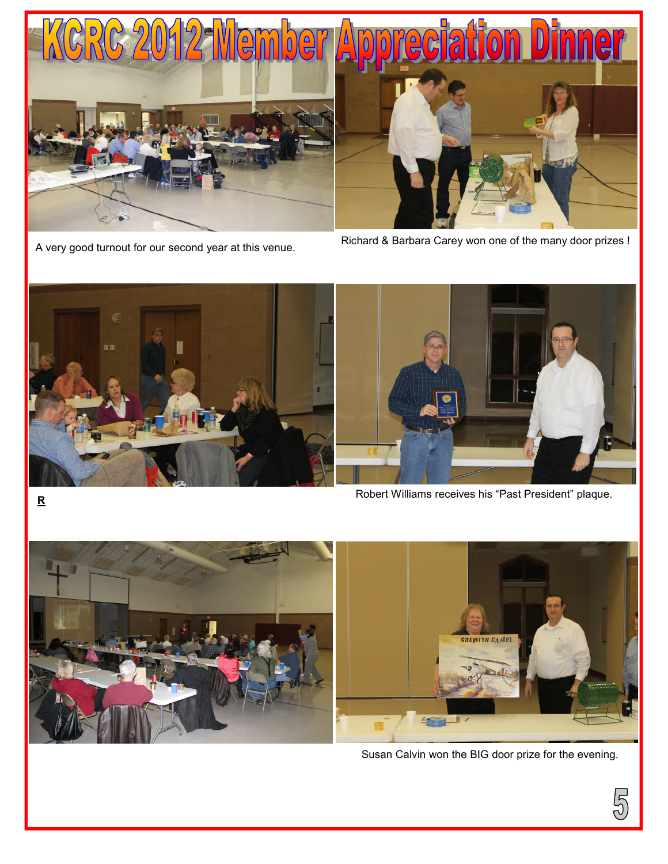

A very good turnout for our second year at this venue.

Richard & Barbara Carey won one of the many door prizes !





Robert Williams receives his "Past President" plaque.



Susan Calvin won the BIG door prize for the evening.

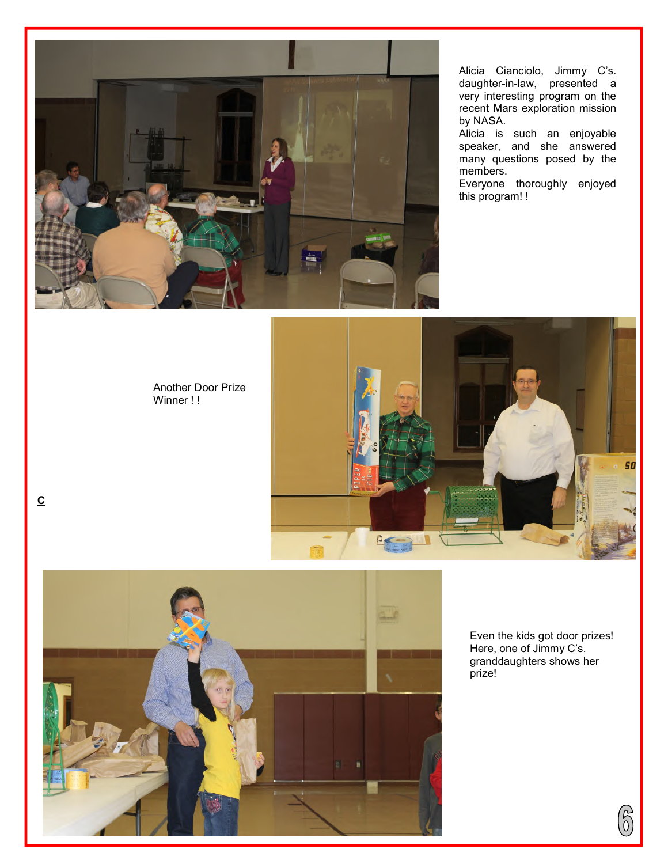

Alicia Cianciolo, Jimmy C's. daughter-in-law, presented a very interesting program on the recent Mars exploration mission by NASA.

Alicia is such an enjoyable speaker, and she answered many questions posed by the members.

Everyone thoroughly enjoyed this program! !

#### Another Door Prize Winner !!

**C**





Even the kids got door prizes! Here, one of Jimmy C's. granddaughters shows her prize!

 $\widehat{\delta}$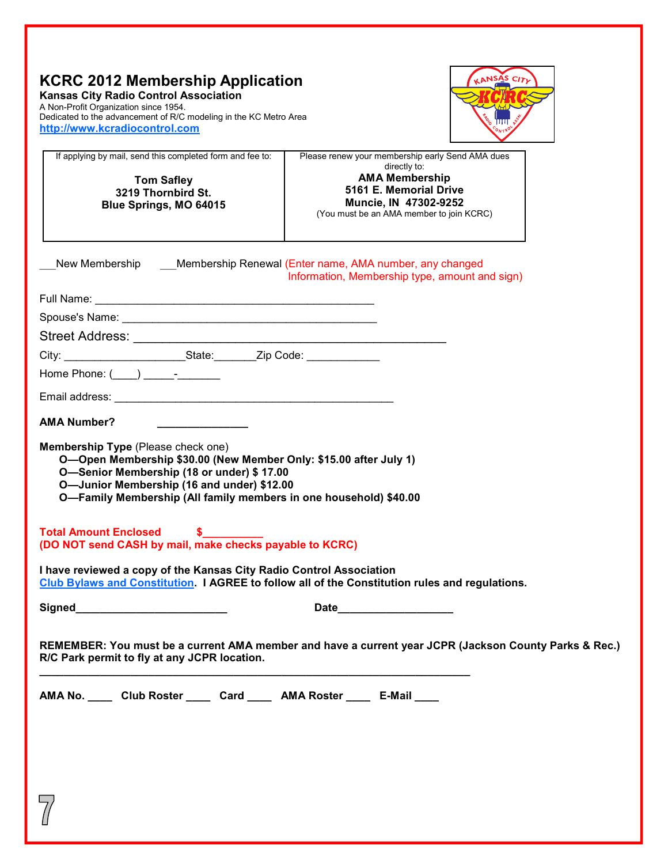| <b>KCRC 2012 Membership Application</b><br><b>Kansas City Radio Control Association</b><br>A Non-Profit Organization since 1954.<br>Dedicated to the advancement of R/C modeling in the KC Metro Area<br>http://www.kcradiocontrol.com                                  |                                                                                                                      | <b>ANSAS CITL</b> |
|-------------------------------------------------------------------------------------------------------------------------------------------------------------------------------------------------------------------------------------------------------------------------|----------------------------------------------------------------------------------------------------------------------|-------------------|
| If applying by mail, send this completed form and fee to:                                                                                                                                                                                                               | Please renew your membership early Send AMA dues<br>directly to:                                                     |                   |
| <b>Tom Safley</b><br>3219 Thornbird St.<br>Blue Springs, MO 64015                                                                                                                                                                                                       | <b>AMA Membership</b><br>5161 E. Memorial Drive<br>Muncie, IN 47302-9252<br>(You must be an AMA member to join KCRC) |                   |
| New Membership Membership Renewal (Enter name, AMA number, any changed                                                                                                                                                                                                  | Information, Membership type, amount and sign)                                                                       |                   |
|                                                                                                                                                                                                                                                                         |                                                                                                                      |                   |
|                                                                                                                                                                                                                                                                         |                                                                                                                      |                   |
|                                                                                                                                                                                                                                                                         |                                                                                                                      |                   |
| City: _____________________________State: __________Zip Code: __________________                                                                                                                                                                                        |                                                                                                                      |                   |
| Home Phone: $(\_\_\_\_\_\_$                                                                                                                                                                                                                                             |                                                                                                                      |                   |
|                                                                                                                                                                                                                                                                         |                                                                                                                      |                   |
| <b>AMA Number?</b>                                                                                                                                                                                                                                                      |                                                                                                                      |                   |
| Membership Type (Please check one)<br>O-Open Membership \$30.00 (New Member Only: \$15.00 after July 1)<br>O-Senior Membership (18 or under) \$17.00<br>O-Junior Membership (16 and under) \$12.00<br>O-Family Membership (All family members in one household) \$40.00 |                                                                                                                      |                   |
| <b>Total Amount Enclosed</b><br>(DO NOT send CASH by mail, make checks payable to KCRC)                                                                                                                                                                                 |                                                                                                                      |                   |
| I have reviewed a copy of the Kansas City Radio Control Association<br>Club Bylaws and Constitution. I AGREE to follow all of the Constitution rules and regulations.                                                                                                   |                                                                                                                      |                   |
| Signed_____________________________                                                                                                                                                                                                                                     | Date and the state of the state of the state of the state of the state of the state of the state of the state        |                   |
| REMEMBER: You must be a current AMA member and have a current year JCPR (Jackson County Parks & Rec.)<br>R/C Park permit to fly at any JCPR location.                                                                                                                   |                                                                                                                      |                   |
| AMA No. Club Roster Card MA Roster E-Mail                                                                                                                                                                                                                               |                                                                                                                      |                   |
|                                                                                                                                                                                                                                                                         |                                                                                                                      |                   |